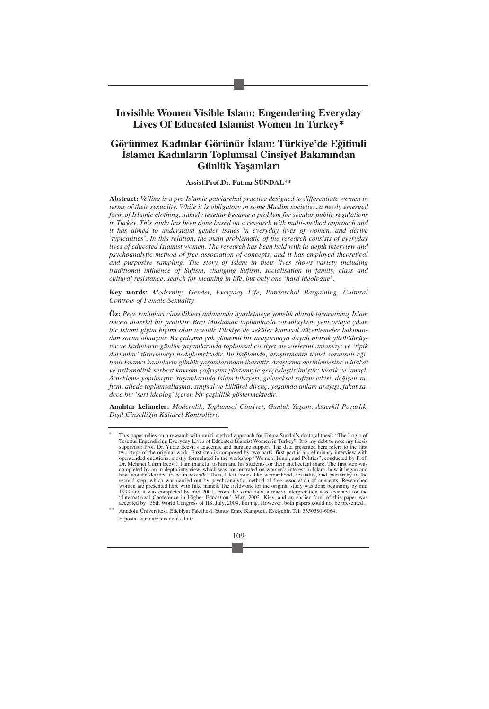# **Invisible Women Visible Islam: Engendering Everyday Lives Of Educated Islamist Women In Turkey\***

# **Görünmez Kadınlar Görünür İslam: Türkiye'de Eğitimli İslamcı Kadınların Toplumsal Cinsiyet Bakımından Günlük Yaşamları**

#### **Assist.Prof.Dr. Fatma SÜNDAL\*\***

**Abstract:** *Veiling is a pre-Islamic patriarchal practice designed to differentiate women in terms of their sexuality. While it is obligatory in some Muslim societies, a newly emerged form of Islamic clothing, namely tesettür became a problem for secular public regulations in Turkey. This study has been done based on a research with multi-method approach and it has aimed to understand gender issues in everyday lives of women, and derive 'typicalities'. In this relation, the main problematic of the research consists of everyday lives of educated Islamist women. The research has been held with in-depth interview and psychoanalytic method of free association of concepts, and it has employed theoretical and purposive sampling. The story of Islam in their lives shows variety including traditional influence of Sufism, changing Sufism, socialisation in family, class and cultural resistance, search for meaning in life, but only one 'hard ideologue'.*

**Key words:** *Modernity, Gender, Everyday Life, Patriarchal Bargaining, Cultural Controls of Female Sexuality*

**Öz:** *Peçe kadınları cinsellikleri anlamında ayırdetmeye yönelik olarak tasarlanmış İslam öncesi ataerkil bir pratiktir. Bazı Müslüman toplumlarda zorunluyken, yeni ortaya çıkan bir İslami giyim biçimi olan tesettür Türkiye'de seküler kamusal düzenlemeler bakımından sorun olmuştur. Bu çalışma çok yöntemli bir araştırmaya dayalı olarak yürütülmüştür ve kadınların günlük yaşamlarında toplumsal cinsiyet meselelerini anlamayı ve 'tipik durumlar' türevlemeyi hedeflemektedir. Bu bağlamda, araştırmanın temel sorunsalı eğitimli İslamcı kadınların günlük yaşamlarından ibarettir. Araştırma derinlemesine mülakat ve psikanalitik serbest kavram çağrışımı yöntemiyle gerçekleştirilmiştir; teorik ve amaçlı örnekleme yapılmıştır. Yaşamlarında İslam hikayesi, geleneksel sufizm etkisi, değişen sufizm, ailede toplumsallaşma, sınıfsal ve kültürel direnç, yaşamda anlam arayışı, fakat sadece bir 'sert ideolog' içeren bir çeşitlilik göstermektedir.*

**Anahtar kelimeler:** *Modernlik, Toplumsal Cinsiyet, Günlük Yaşam, Ataerkil Pazarlık, Dişil Cinselliğin Kültürel Kontrolleri.*

\*\* Anadolu Üniversitesi, Edebiyat Fakültesi, Yunus Emre Kampüsü, Eskişehir. Tel: 3350580-6064. E-posta: fsundal@anadolu.edu.tr



<sup>&</sup>lt;sup>\*</sup> This paper relies on a research with multi-method approach for Fatma Sündal's doctoral thesis "The Logic of Tesettür:Engendering Everyday Lives of Educated Islamist Women in Turkey". It is my debt to note my thesis sup completed by an in-depth interview, which was concentrated on women's interest in Islam, how it began and<br>how women decided to be in *testetiir*. Then, I left issues like womanhood, sexuality, and patriarchy to the<br>second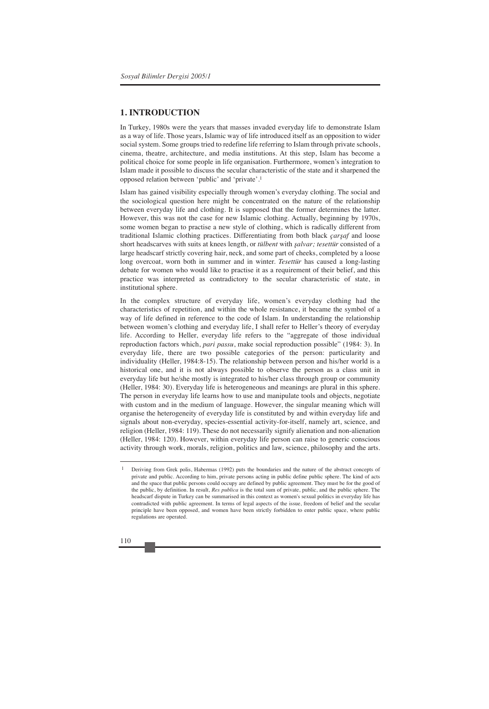# **1. INTRODUCTION**

In Turkey, 1980s were the years that masses invaded everyday life to demonstrate Islam as a way of life. Those years, Islamic way of life introduced itself as an opposition to wider social system. Some groups tried to redefine life referring to Islam through private schools, cinema, theatre, architecture, and media institutions. At this step, Islam has become a political choice for some people in life organisation. Furthermore, women's integration to Islam made it possible to discuss the secular characteristic of the state and it sharpened the opposed relation between 'public' and 'private'.1

Islam has gained visibility especially through women's everyday clothing. The social and the sociological question here might be concentrated on the nature of the relationship between everyday life and clothing. It is supposed that the former determines the latter. However, this was not the case for new Islamic clothing. Actually, beginning by 1970s, some women began to practise a new style of clothing, which is radically different from traditional Islamic clothing practices. Differentiating from both black *çarşaf* and loose short headscarves with suits at knees length, or *tülbent* with *şalvar; tesettür* consisted of a large headscarf strictly covering hair, neck, and some part of cheeks, completed by a loose long overcoat, worn both in summer and in winter. *Tesettür* has caused a long-lasting debate for women who would like to practise it as a requirement of their belief, and this practice was interpreted as contradictory to the secular characteristic of state, in institutional sphere.

In the complex structure of everyday life, women's everyday clothing had the characteristics of repetition, and within the whole resistance, it became the symbol of a way of life defined in reference to the code of Islam. In understanding the relationship between women's clothing and everyday life, I shall refer to Heller's theory of everyday life. According to Heller, everyday life refers to the "aggregate of those individual reproduction factors which, *pari passu*, make social reproduction possible" (1984: 3). In everyday life, there are two possible categories of the person: particularity and individuality (Heller, 1984:8-15). The relationship between person and his/her world is a historical one, and it is not always possible to observe the person as a class unit in everyday life but he/she mostly is integrated to his/her class through group or community (Heller, 1984: 30). Everyday life is heterogeneous and meanings are plural in this sphere. The person in everyday life learns how to use and manipulate tools and objects, negotiate with custom and in the medium of language. However, the singular meaning which will organise the heterogeneity of everyday life is constituted by and within everyday life and signals about non-everyday, species-essential activity-for-itself, namely art, science, and religion (Heller, 1984: 119). These do not necessarily signify alienation and non-alienation (Heller, 1984: 120). However, within everyday life person can raise to generic conscious activity through work, morals, religion, politics and law, science, philosophy and the arts.

Deriving from Grek polis, Habermas (1992) puts the boundaries and the nature of the abstract concepts of private and public. According to him, private persons acting in public define public sphere. The kind of acts and the space that public persons could occupy are defined by public agreement. They must be for the good of the public, by definition. In result, *Res publica* is the total sum of private, public, and the public sphere. The headscarf dispute in Turkey can be summarised in this context as women's sexual politics in everyday life has contradicted with public agreement. In terms of legal aspects of the issue, freedom of belief and the secular principle have been opposed, and women have been strictly forbidden to enter public space, where public regulations are operated.

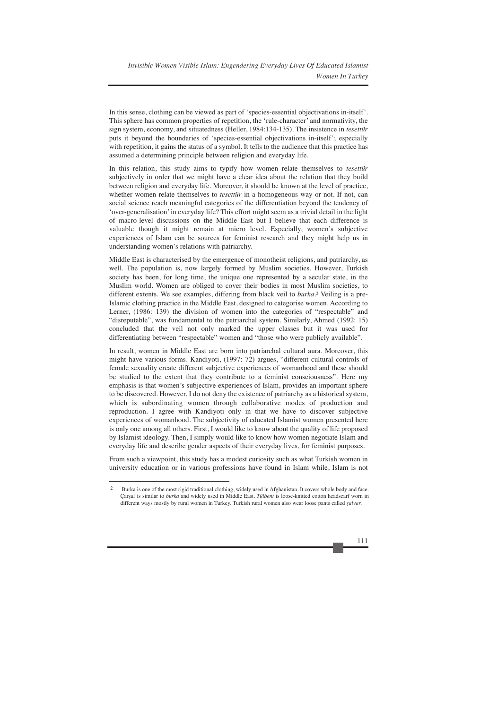In this sense, clothing can be viewed as part of 'species-essential objectivations in-itself'. This sphere has common properties of repetition, the 'rule-character' and normativity, the sign system, economy, and situatedness (Heller, 1984:134-135). The insistence in *tesettür* puts it beyond the boundaries of 'species-essential objectivations in-itself'; especially with repetition, it gains the status of a symbol. It tells to the audience that this practice has assumed a determining principle between religion and everyday life.

In this relation, this study aims to typify how women relate themselves to *tesettür* subjectively in order that we might have a clear idea about the relation that they build between religion and everyday life. Moreover, it should be known at the level of practice, whether women relate themselves to *tesettür* in a homogeneous way or not. If not, can social science reach meaningful categories of the differentiation beyond the tendency of 'over-generalisation' in everyday life? This effort might seem as a trivial detail in the light of macro-level discussions on the Middle East but I believe that each difference is valuable though it might remain at micro level. Especially, women's subjective experiences of Islam can be sources for feminist research and they might help us in understanding women's relations with patriarchy.

Middle East is characterised by the emergence of monotheist religions, and patriarchy, as well. The population is, now largely formed by Muslim societies. However, Turkish society has been, for long time, the unique one represented by a secular state, in the Muslim world. Women are obliged to cover their bodies in most Muslim societies, to different extents. We see examples, differing from black veil to *burka.*<sup>2</sup> Veiling is a pre-Islamic clothing practice in the Middle East, designed to categorise women. According to Lerner, (1986: 139) the division of women into the categories of "respectable" and "disreputable", was fundamental to the patriarchal system. Similarly, Ahmed (1992: 15) concluded that the veil not only marked the upper classes but it was used for differentiating between "respectable" women and "those who were publicly available".

In result, women in Middle East are born into patriarchal cultural aura. Moreover, this might have various forms. Kandiyoti, (1997: 72) argues, "different cultural controls of female sexuality create different subjective experiences of womanhood and these should be studied to the extent that they contribute to a feminist consciousness". Here my emphasis is that women's subjective experiences of Islam, provides an important sphere to be discovered. However, I do not deny the existence of patriarchy as a historical system, which is subordinating women through collaborative modes of production and reproduction. I agree with Kandiyoti only in that we have to discover subjective experiences of womanhood. The subjectivity of educated Islamist women presented here is only one among all others. First, I would like to know about the quality of life proposed by Islamist ideology. Then, I simply would like to know how women negotiate Islam and everyday life and describe gender aspects of their everyday lives, for feminist purposes.

From such a viewpoint, this study has a modest curiosity such as what Turkish women in university education or in various professions have found in Islam while, Islam is not

<sup>2</sup> Burka is one of the most rigid traditional clothing, widely used in Afghanistan. It covers whole body and face. Çarşaf is similar to *burka* and widely used in Middle East. *Tülbent* is loose-knitted cotton headscarf worn in different ways mostly by rural women in Turkey. Turkish rural women also wear loose pants called *şalvar.*

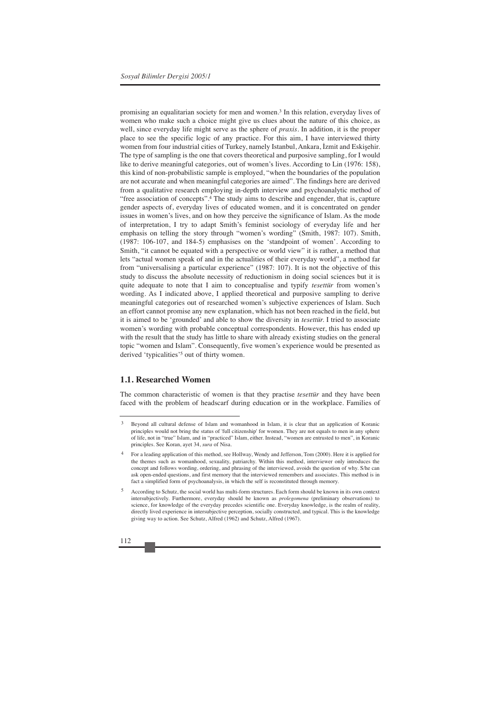promising an equalitarian society for men and women.3 In this relation, everyday lives of women who make such a choice might give us clues about the nature of this choice, as well, since everyday life might serve as the sphere of *praxis.* In addition, it is the proper place to see the specific logic of any practice. For this aim, I have interviewed thirty women from four industrial cities of Turkey, namely Istanbul, Ankara, İzmit and Eskişehir. The type of sampling is the one that covers theoretical and purposive sampling, for I would like to derive meaningful categories, out of women's lives. According to Lin (1976: 158), this kind of non-probabilistic sample is employed, "when the boundaries of the population are not accurate and when meaningful categories are aimed". The findings here are derived from a qualitative research employing in-depth interview and psychoanalytic method of "free association of concepts".4 The study aims to describe and engender, that is, capture gender aspects of, everyday lives of educated women, and it is concentrated on gender issues in women's lives, and on how they perceive the significance of Islam. As the mode of interpretation, I try to adapt Smith's feminist sociology of everyday life and her emphasis on telling the story through "women's wording" (Smith, 1987: 107). Smith, (1987: 106-107, and 184-5) emphasises on the 'standpoint of women'. According to Smith, "it cannot be equated with a perspective or world view" it is rather, a method that lets "actual women speak of and in the actualities of their everyday world", a method far from "universalising a particular experience" (1987: 107). It is not the objective of this study to discuss the absolute necessity of reductionism in doing social sciences but it is quite adequate to note that I aim to conceptualise and typify *tesettür* from women's wording. As I indicated above, I applied theoretical and purposive sampling to derive meaningful categories out of researched women's subjective experiences of Islam. Such an effort cannot promise any new explanation, which has not been reached in the field, but it is aimed to be 'grounded' and able to show the diversity in *tesettür.* I tried to associate women's wording with probable conceptual correspondents. However, this has ended up with the result that the study has little to share with already existing studies on the general topic "women and Islam". Consequently, five women's experience would be presented as derived 'typicalities'5 out of thirty women.

#### **1.1. Researched Women**

The common characteristic of women is that they practise *tesettür* and they have been faced with the problem of headscarf during education or in the workplace. Families of

<sup>5</sup> According to Schutz, the social world has multi-form structures. Each form should be known in its own context intersubjectively. Furthermore, everyday should be known as *prolegomena* (preliminary observations) to science, for knowledge of the everyday precedes scientific one. Everyday knowledge, is the realm of reality, directly lived experience in intersubjective perception, socially constructed, and typical. This is the knowledge giving way to action. See Schutz, Alfred (1962) and Schutz, Alfred (1967).



Beyond all cultural defense of Islam and womanhood in Islam, it is clear that an application of Koranic principles would not bring the status of 'full citizenship' for women. They are not equals to men in any sphere of life, not in "true" Islam, and in "practiced" Islam, either. Instead, "women are entrusted to men", in Koranic principles. See Koran, ayet 34, *sura* of Nisa.

<sup>4</sup> For a leading application of this method, see Hollway, Wendy and Jefferson, Tom (2000). Here it is applied for the themes such as womanhood, sexuality, patriarchy. Within this method, interviewer only introduces the concept and follows wording, ordering, and phrasing of the interviewed, avoids the question of why. S/he can ask open-ended questions, and first memory that the interviewed remembers and associates. This method is in fact a simplified form of psychoanalysis, in which the self is reconstituted through memory.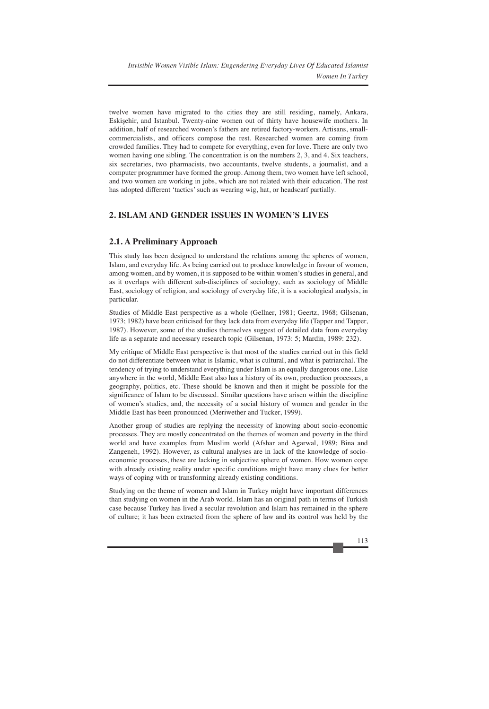twelve women have migrated to the cities they are still residing, namely, Ankara, Eskişehir, and Istanbul. Twenty-nine women out of thirty have housewife mothers. In addition, half of researched women's fathers are retired factory-workers. Artisans, smallcommercialists, and officers compose the rest. Researched women are coming from crowded families. They had to compete for everything, even for love. There are only two women having one sibling. The concentration is on the numbers 2, 3, and 4. Six teachers, six secretaries, two pharmacists, two accountants, twelve students, a journalist, and a computer programmer have formed the group. Among them, two women have left school, and two women are working in jobs, which are not related with their education. The rest has adopted different 'tactics' such as wearing wig, hat, or headscarf partially.

#### **2. ISLAM AND GENDER ISSUES IN WOMEN'S LIVES**

#### **2.1. A Preliminary Approach**

This study has been designed to understand the relations among the spheres of women, Islam, and everyday life. As being carried out to produce knowledge in favour of women, among women, and by women, it is supposed to be within women's studies in general, and as it overlaps with different sub-disciplines of sociology, such as sociology of Middle East, sociology of religion, and sociology of everyday life, it is a sociological analysis, in particular.

Studies of Middle East perspective as a whole (Gellner, 1981; Geertz, 1968; Gilsenan, 1973; 1982) have been criticised for they lack data from everyday life (Tapper and Tapper, 1987). However, some of the studies themselves suggest of detailed data from everyday life as a separate and necessary research topic (Gilsenan, 1973: 5; Mardin, 1989: 232).

My critique of Middle East perspective is that most of the studies carried out in this field do not differentiate between what is Islamic, what is cultural, and what is patriarchal. The tendency of trying to understand everything under Islam is an equally dangerous one. Like anywhere in the world, Middle East also has a history of its own, production processes, a geography, politics, etc. These should be known and then it might be possible for the significance of Islam to be discussed. Similar questions have arisen within the discipline of women's studies, and, the necessity of a social history of women and gender in the Middle East has been pronounced (Meriwether and Tucker, 1999).

Another group of studies are replying the necessity of knowing about socio-economic processes. They are mostly concentrated on the themes of women and poverty in the third world and have examples from Muslim world (Afshar and Agarwal, 1989; Bina and Zangeneh, 1992). However, as cultural analyses are in lack of the knowledge of socioeconomic processes, these are lacking in subjective sphere of women. How women cope with already existing reality under specific conditions might have many clues for better ways of coping with or transforming already existing conditions.

Studying on the theme of women and Islam in Turkey might have important differences than studying on women in the Arab world. Islam has an original path in terms of Turkish case because Turkey has lived a secular revolution and Islam has remained in the sphere of culture; it has been extracted from the sphere of law and its control was held by the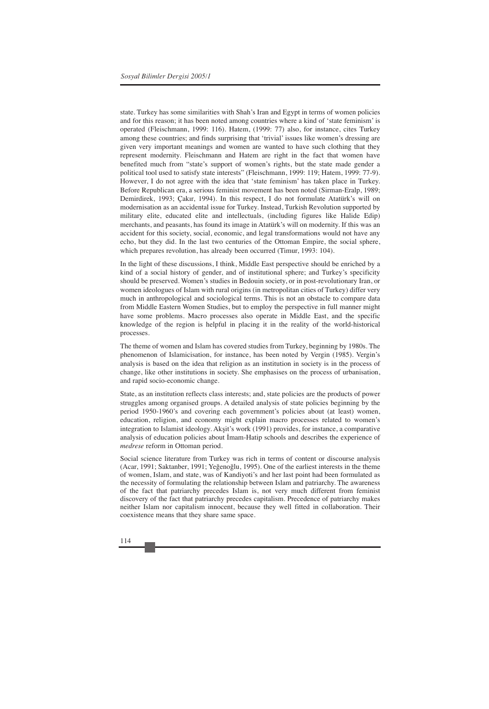state. Turkey has some similarities with Shah's Iran and Egypt in terms of women policies and for this reason; it has been noted among countries where a kind of 'state feminism' is operated (Fleischmann, 1999: 116). Hatem, (1999: 77) also, for instance, cites Turkey among these countries; and finds surprising that 'trivial' issues like women's dressing are given very important meanings and women are wanted to have such clothing that they represent modernity. Fleischmann and Hatem are right in the fact that women have benefited much from "state's support of women's rights, but the state made gender a political tool used to satisfy state interests" (Fleischmann, 1999: 119; Hatem, 1999: 77-9). However, I do not agree with the idea that 'state feminism' has taken place in Turkey. Before Republican era, a serious feminist movement has been noted (Sirman-Eralp, 1989; Demirdirek, 1993; Çakır, 1994). In this respect, I do not formulate Atatürk's will on modernisation as an accidental issue for Turkey. Instead, Turkish Revolution supported by military elite, educated elite and intellectuals, (including figures like Halide Edip) merchants, and peasants, has found its image in Atatürk's will on modernity. If this was an accident for this society, social, economic, and legal transformations would not have any echo, but they did. In the last two centuries of the Ottoman Empire, the social sphere, which prepares revolution, has already been occurred (Timur, 1993: 104).

In the light of these discussions, I think, Middle East perspective should be enriched by a kind of a social history of gender, and of institutional sphere; and Turkey's specificity should be preserved. Women's studies in Bedouin society, or in post-revolutionary Iran, or women ideologues of Islam with rural origins (in metropolitan cities of Turkey) differ very much in anthropological and sociological terms. This is not an obstacle to compare data from Middle Eastern Women Studies, but to employ the perspective in full manner might have some problems. Macro processes also operate in Middle East, and the specific knowledge of the region is helpful in placing it in the reality of the world-historical processes.

The theme of women and Islam has covered studies from Turkey, beginning by 1980s. The phenomenon of Islamicisation, for instance, has been noted by Vergin (1985). Vergin's analysis is based on the idea that religion as an institution in society is in the process of change, like other institutions in society. She emphasises on the process of urbanisation, and rapid socio-economic change.

State, as an institution reflects class interests; and, state policies are the products of power struggles among organised groups. A detailed analysis of state policies beginning by the period 1950-1960's and covering each government's policies about (at least) women, education, religion, and economy might explain macro processes related to women's integration to Islamist ideology. Akşit's work (1991) provides, for instance, a comparative analysis of education policies about İmam-Hatip schools and describes the experience of *medrese* reform in Ottoman period.

Social science literature from Turkey was rich in terms of content or discourse analysis (Acar, 1991; Saktanber, 1991; Yeğenoğlu, 1995). One of the earliest interests in the theme of women, Islam, and state, was of Kandiyoti's and her last point had been formulated as the necessity of formulating the relationship between Islam and patriarchy. The awareness of the fact that patriarchy precedes Islam is, not very much different from feminist discovery of the fact that patriarchy precedes capitalism. Precedence of patriarchy makes neither Islam nor capitalism innocent, because they well fitted in collaboration. Their coexistence means that they share same space.

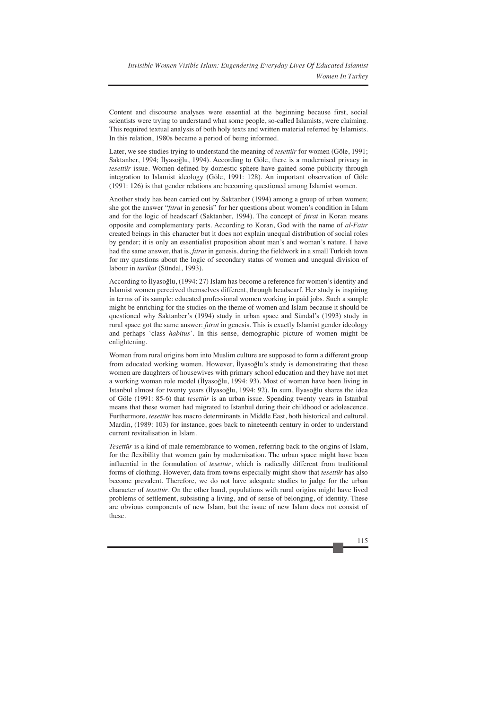Content and discourse analyses were essential at the beginning because first, social scientists were trying to understand what some people, so-called Islamists, were claiming. This required textual analysis of both holy texts and written material referred by Islamists. In this relation, 1980s became a period of being informed.

Later, we see studies trying to understand the meaning of *tesettür* for women (Göle, 1991; Saktanber, 1994; İlyasoğlu, 1994). According to Göle, there is a modernised privacy in *tesettür* issue. Women defined by domestic sphere have gained some publicity through integration to Islamist ideology (Göle, 1991: 128). An important observation of Göle (1991: 126) is that gender relations are becoming questioned among Islamist women.

Another study has been carried out by Saktanber (1994) among a group of urban women; she got the answer "*fıtrat* in genesis" for her questions about women's condition in Islam and for the logic of headscarf (Saktanber, 1994). The concept of *fıtrat* in Koran means opposite and complementary parts. According to Koran, God with the name of *al-Fatır* created beings in this character but it does not explain unequal distribution of social roles by gender; it is only an essentialist proposition about man's and woman's nature. I have had the same answer, that is, *fıtrat* in genesis, during the fieldwork in a small Turkish town for my questions about the logic of secondary status of women and unequal division of labour in *tarikat* (Sündal, 1993).

According to İlyasoğlu, (1994: 27) Islam has become a reference for women's identity and Islamist women perceived themselves different, through headscarf. Her study is inspiring in terms of its sample: educated professional women working in paid jobs. Such a sample might be enriching for the studies on the theme of women and Islam because it should be questioned why Saktanber's (1994) study in urban space and Sündal's (1993) study in rural space got the same answer: *fıtrat* in genesis. This is exactly Islamist gender ideology and perhaps 'class *habitus*'. In this sense, demographic picture of women might be enlightening.

Women from rural origins born into Muslim culture are supposed to form a different group from educated working women. However, İlyasoğlu's study is demonstrating that these women are daughters of housewives with primary school education and they have not met a working woman role model (İlyasoğlu, 1994: 93). Most of women have been living in Istanbul almost for twenty years (İlyasoğlu, 1994: 92). In sum, İlyasoğlu shares the idea of Göle (1991: 85-6) that *tesettür* is an urban issue. Spending twenty years in Istanbul means that these women had migrated to Istanbul during their childhood or adolescence. Furthermore, *tesettür* has macro determinants in Middle East, both historical and cultural. Mardin, (1989: 103) for instance, goes back to nineteenth century in order to understand current revitalisation in Islam.

*Tesettür* is a kind of male remembrance to women, referring back to the origins of Islam, for the flexibility that women gain by modernisation. The urban space might have been influential in the formulation of *tesettür*, which is radically different from traditional forms of clothing. However, data from towns especially might show that *tesettür* has also become prevalent. Therefore, we do not have adequate studies to judge for the urban character of *tesettür*. On the other hand, populations with rural origins might have lived problems of settlement, subsisting a living, and of sense of belonging, of identity. These are obvious components of new Islam, but the issue of new Islam does not consist of these.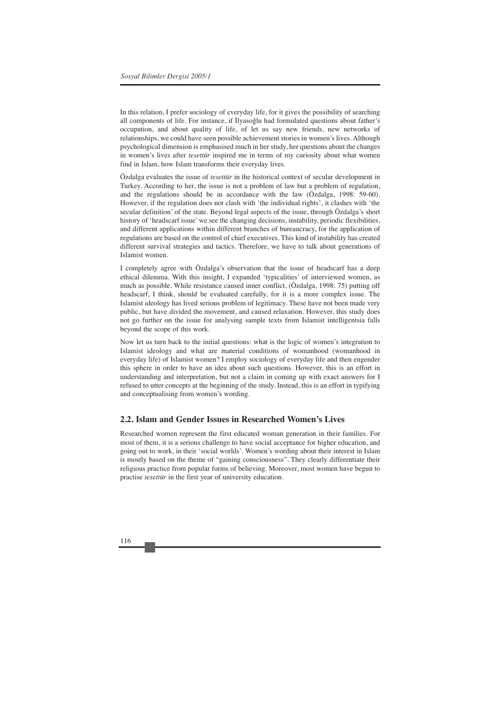In this relation, I prefer sociology of everyday life, for it gives the possibility of searching all components of life. For instance, if İlyasoğlu had formulated questions about father's occupation, and about quality of life, of let us say new friends, new networks of relationships, we could have seen possible achievement stories in women's lives. Although psychological dimension is emphasised much in her study, her questions about the changes in women's lives after *tesettür* inspired me in terms of my curiosity about what women find in Islam, how Islam transforms their everyday lives.

Özdalga evaluates the issue of *tesettür* in the historical context of secular development in Turkey. According to her, the issue is not a problem of law but a problem of regulation, and the regulations should be in accordance with the law (Özdalga, 1998: 59-60). However, if the regulation does not clash with 'the individual rights', it clashes with 'the secular definition' of the state. Beyond legal aspects of the issue, through Özdalga's short history of 'headscarf issue' we see the changing decisions, instability, periodic flexibilities, and different applications within different branches of bureaucracy, for the application of regulations are based on the control of chief executives. This kind of instability has created different survival strategies and tactics. Therefore, we have to talk about generations of Islamist women.

I completely agree with Özdalga's observation that the issue of headscarf has a deep ethical dilemma. With this insight, I expanded 'typicalities' of interviewed women, as much as possible. While resistance caused inner conflict, (Özdalga, 1998: 75) putting off headscarf, I think, should be evaluated carefully, for it is a more complex issue. The Islamist ideology has lived serious problem of legitimacy. These have not been made very public, but have divided the movement, and caused relaxation. However, this study does not go further on the issue for analysing sample texts from Islamist intelligentsia falls beyond the scope of this work.

Now let us turn back to the initial questions: what is the logic of women's integration to Islamist ideology and what are material conditions of womanhood (womanhood in everyday life) of Islamist women? I employ sociology of everyday life and then engender this sphere in order to have an idea about such questions. However, this is an effort in understanding and interpretation, but not a claim in coming up with exact answers for I refused to utter concepts at the beginning of the study. Instead, this is an effort in typifying and conceptualising from women's wording.

#### **2.2. Islam and Gender Issues in Researched Women's Lives**

Researched women represent the first educated woman generation in their families. For most of them, it is a serious challenge to have social acceptance for higher education, and going out to work, in their 'social worlds'. Women's wording about their interest in Islam is mostly based on the theme of "gaining consciousness". They clearly differentiate their religious practice from popular forms of believing. Moreover, most women have begun to practise *tesettür* in the first year of university education.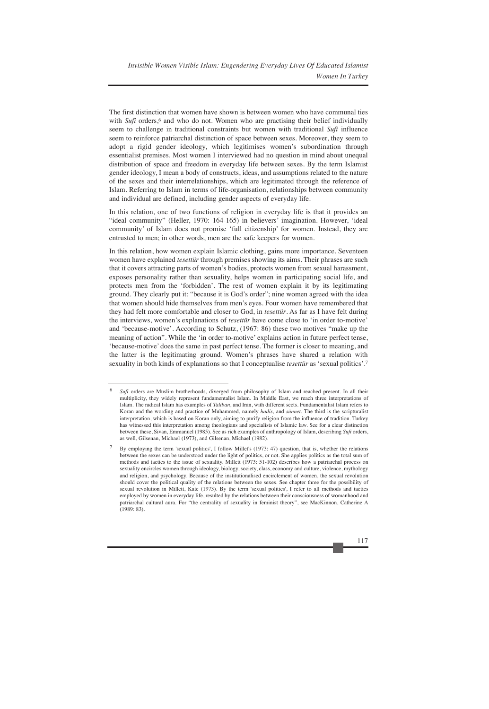The first distinction that women have shown is between women who have communal ties with *Sufi* orders,<sup>6</sup> and who do not. Women who are practising their belief individually seem to challenge in traditional constraints but women with traditional *Sufi* influence seem to reinforce patriarchal distinction of space between sexes. Moreover, they seem to adopt a rigid gender ideology, which legitimises women's subordination through essentialist premises. Most women I interviewed had no question in mind about unequal distribution of space and freedom in everyday life between sexes. By the term Islamist gender ideology, I mean a body of constructs, ideas, and assumptions related to the nature of the sexes and their interrelationships, which are legitimated through the reference of Islam. Referring to Islam in terms of life-organisation, relationships between community and individual are defined, including gender aspects of everyday life.

In this relation, one of two functions of religion in everyday life is that it provides an "ideal community" (Heller, 1970: 164-165) in believers' imagination. However, 'ideal community' of Islam does not promise 'full citizenship' for women. Instead, they are entrusted to men; in other words, men are the safe keepers for women.

In this relation, how women explain Islamic clothing, gains more importance. Seventeen women have explained *tesettür* through premises showing its aims. Their phrases are such that it covers attracting parts of women's bodies, protects women from sexual harassment, exposes personality rather than sexuality, helps women in participating social life, and protects men from the 'forbidden'. The rest of women explain it by its legitimating ground. They clearly put it: "because it is God's order"; nine women agreed with the idea that women should hide themselves from men's eyes. Four women have remembered that they had felt more comfortable and closer to God, in *tesettür*. As far as I have felt during the interviews, women's explanations of *tesettür* have come close to 'in order to-motive' and 'because-motive'. According to Schutz, (1967: 86) these two motives "make up the meaning of action". While the 'in order to-motive' explains action in future perfect tense, 'because-motive' does the same in past perfect tense. The former is closer to meaning, and the latter is the legitimating ground. Women's phrases have shared a relation with sexuality in both kinds of explanations so that I conceptualise *tesettür* as 'sexual politics'.7

By employing the term 'sexual politics', I follow Millet's (1973: 47) question, that is, whether the relations between the sexes can be understood under the light of politics, or not. She applies politics as the total sum of methods and tactics to the issue of sexuality. Millett (1973: 51-102) describes how a patriarchal process on sexuality encircles women through ideology, biology, society, class, economy and culture, violence, mythology and religion, and psychology. Because of the institutionalised encirclement of women, the sexual revolution should cover the political quality of the relations between the sexes. See chapter three for the possibility of sexual revolution in Millett, Kate (1973). By the term 'sexual politics', I refer to all methods and tactics employed by women in everyday life, resulted by the relations between their consciousness of womanhood and patriarchal cultural aura. For "the centrality of sexuality in feminist theory", see MacKinnon, Catherine A (1989: 83).



<sup>6</sup> *Sufi* orders are Muslim brotherhoods, diverged from philosophy of Islam and reached present. In all their multiplicity, they widely represent fundamentalist Islam. In Middle East, we reach three interpretations of Islam. The radical Islam has examples of *Taliban*, and Iran, with different sects. Fundamentalist Islam refers to Koran and the wording and practice of Muhammed, namely *hadis,* and *sünnet.* The third is the scripturalist interpretation, which is based on Koran only, aiming to purify religion from the influence of tradition. Turkey has witnessed this interpretation among theologians and specialists of Islamic law. See for a clear distinction between these, Sivan, Emmanuel (1985). See as rich examples of anthropology of Islam, describing *Sufi* orders, as well, Gilsenan, Michael (1973), and Gilsenan, Michael (1982).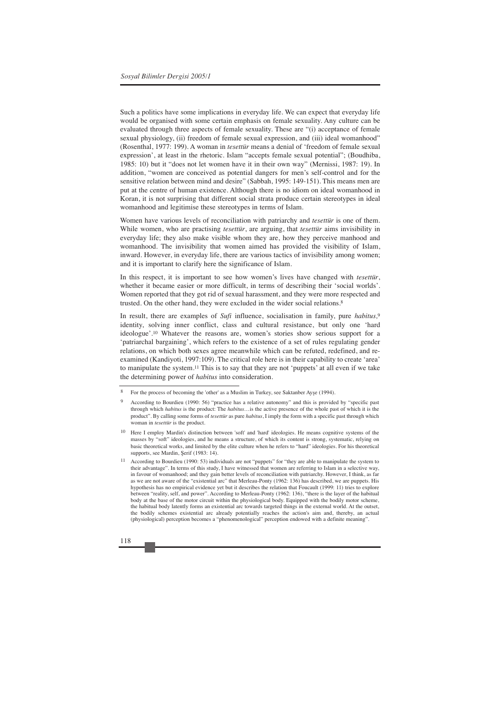Such a politics have some implications in everyday life. We can expect that everyday life would be organised with some certain emphasis on female sexuality. Any culture can be evaluated through three aspects of female sexuality. These are "(i) acceptance of female sexual physiology, (ii) freedom of female sexual expression, and (iii) ideal womanhood" (Rosenthal, 1977: 199). A woman in *tesettür* means a denial of 'freedom of female sexual expression', at least in the rhetoric. Islam "accepts female sexual potential"; (Boudhiba, 1985: 10) but it "does not let women have it in their own way" (Mernissi, 1987: 19). In addition, "women are conceived as potential dangers for men's self-control and for the sensitive relation between mind and desire" (Sabbah, 1995: 149-151). This means men are put at the centre of human existence. Although there is no idiom on ideal womanhood in Koran, it is not surprising that different social strata produce certain stereotypes in ideal womanhood and legitimise these stereotypes in terms of Islam.

Women have various levels of reconciliation with patriarchy and *tesettür* is one of them. While women, who are practising *tesettür*, are arguing, that *tesettür* aims invisibility in everyday life; they also make visible whom they are, how they perceive manhood and womanhood. The invisibility that women aimed has provided the visibility of Islam, inward. However, in everyday life, there are various tactics of invisibility among women; and it is important to clarify here the significance of Islam.

In this respect, it is important to see how women's lives have changed with *tesettür*, whether it became easier or more difficult, in terms of describing their 'social worlds'. Women reported that they got rid of sexual harassment, and they were more respected and trusted. On the other hand, they were excluded in the wider social relations.8

In result, there are examples of *Sufi* influence, socialisation in family, pure *habitus,*<sup>9</sup> identity, solving inner conflict, class and cultural resistance, but only one 'hard ideologue'.10 Whatever the reasons are, women's stories show serious support for a 'patriarchal bargaining', which refers to the existence of a set of rules regulating gender relations, on which both sexes agree meanwhile which can be refuted, redefined, and reexamined (Kandiyoti, 1997:109). The critical role here is in their capability to create 'area' to manipulate the system.11 This is to say that they are not 'puppets' at all even if we take the determining power of *habitus* into consideration.

<sup>&</sup>lt;sup>11</sup> According to Bourdieu (1990: 53) individuals are not "puppets" for "they are able to manipulate the system to their advantage". In terms of this study, I have witnessed that women are referring to Islam in a selective way, in favour of womanhood; and they gain better levels of reconciliation with patriarchy. However, I think, as far as we are not aware of the "existential arc" that Merleau-Ponty (1962: 136) has described, we are puppets. His hypothesis has no empirical evidence yet but it describes the relation that Foucault (1999: 11) tries to explore between "reality, self, and power". According to Merleau-Ponty (1962: 136), "there is the layer of the habitual body at the base of the motor circuit within the physiological body. Equipped with the bodily motor scheme, the habitual body latently forms an existential arc towards targeted things in the external world. At the outset, the bodily schemes existential arc already potentially reaches the action's aim and, thereby, an actual (physiological) perception becomes a "phenomenological" perception endowed with a definite meaning".



<sup>8</sup> For the process of becoming the 'other' as a Muslim in Turkey, see Saktanber Ayşe (1994).

According to Bourdieu (1990: 56) "practice has a relative autonomy" and this is provided by "specific past through which *habitus* is the product: The *habitus*…is the active presence of the whole past of which it is the product". By calling some forms of *tesettür* as pure *habitus*, I imply the form with a specific past through which woman in *tesettür* is the product.

<sup>10</sup> Here I employ Mardin's distinction between 'soft' and 'hard' ideologies. He means cognitive systems of the masses by "soft" ideologies, and he means a structure, of which its content is strong, systematic, relying on basic theoretical works, and limited by the elite culture when he refers to "hard" ideologies. For his theoretical supports, see Mardin, Şerif (1983: 14).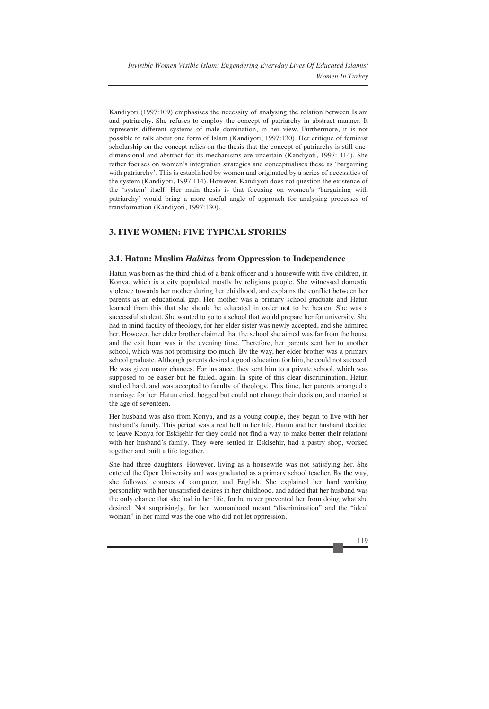Kandiyoti (1997:109) emphasises the necessity of analysing the relation between Islam and patriarchy. She refuses to employ the concept of patriarchy in abstract manner. It represents different systems of male domination, in her view. Furthermore, it is not possible to talk about one form of Islam (Kandiyoti, 1997:130). Her critique of feminist scholarship on the concept relies on the thesis that the concept of patriarchy is still onedimensional and abstract for its mechanisms are uncertain (Kandiyoti, 1997: 114). She rather focuses on women's integration strategies and conceptualises these as 'bargaining with patriarchy'. This is established by women and originated by a series of necessities of the system (Kandiyoti, 1997:114). However, Kandiyoti does not question the existence of the 'system' itself. Her main thesis is that focusing on women's 'bargaining with patriarchy' would bring a more useful angle of approach for analysing processes of transformation (Kandiyoti, 1997:130).

### **3. FIVE WOMEN: FIVE TYPICAL STORIES**

### **3.1. Hatun: Muslim** *Habitus* **from Oppression to Independence**

Hatun was born as the third child of a bank officer and a housewife with five children, in Konya, which is a city populated mostly by religious people. She witnessed domestic violence towards her mother during her childhood, and explains the conflict between her parents as an educational gap. Her mother was a primary school graduate and Hatun learned from this that she should be educated in order not to be beaten. She was a successful student. She wanted to go to a school that would prepare her for university. She had in mind faculty of theology, for her elder sister was newly accepted, and she admired her. However, her elder brother claimed that the school she aimed was far from the house and the exit hour was in the evening time. Therefore, her parents sent her to another school, which was not promising too much. By the way, her elder brother was a primary school graduate. Although parents desired a good education for him, he could not succeed. He was given many chances. For instance, they sent him to a private school, which was supposed to be easier but he failed, again. In spite of this clear discrimination, Hatun studied hard, and was accepted to faculty of theology. This time, her parents arranged a marriage for her. Hatun cried, begged but could not change their decision, and married at the age of seventeen.

Her husband was also from Konya, and as a young couple, they began to live with her husband's family. This period was a real hell in her life. Hatun and her husband decided to leave Konya for Eskişehir for they could not find a way to make better their relations with her husband's family. They were settled in Eskişehir, had a pastry shop, worked together and built a life together.

She had three daughters. However, living as a housewife was not satisfying her. She entered the Open University and was graduated as a primary school teacher. By the way, she followed courses of computer, and English. She explained her hard working personality with her unsatisfied desires in her childhood, and added that her husband was the only chance that she had in her life, for he never prevented her from doing what she desired. Not surprisingly, for her, womanhood meant "discrimination" and the "ideal woman" in her mind was the one who did not let oppression.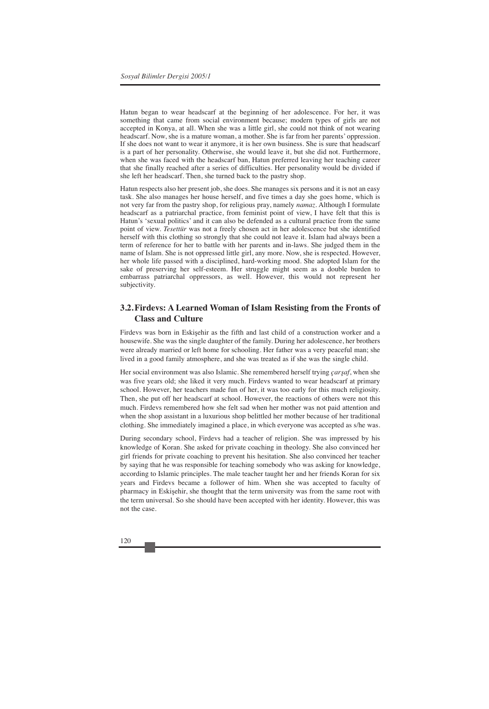Hatun began to wear headscarf at the beginning of her adolescence. For her, it was something that came from social environment because; modern types of girls are not accepted in Konya, at all. When she was a little girl, she could not think of not wearing headscarf. Now, she is a mature woman, a mother. She is far from her parents' oppression. If she does not want to wear it anymore, it is her own business. She is sure that headscarf is a part of her personality. Otherwise, she would leave it, but she did not. Furthermore, when she was faced with the headscarf ban, Hatun preferred leaving her teaching career that she finally reached after a series of difficulties. Her personality would be divided if she left her headscarf. Then, she turned back to the pastry shop.

Hatun respects also her present job, she does. She manages six persons and it is not an easy task. She also manages her house herself, and five times a day she goes home, which is not very far from the pastry shop, for religious pray, namely *namaz*. Although I formulate headscarf as a patriarchal practice, from feminist point of view, I have felt that this is Hatun's 'sexual politics' and it can also be defended as a cultural practice from the same point of view. *Tesettür* was not a freely chosen act in her adolescence but she identified herself with this clothing so strongly that she could not leave it. Islam had always been a term of reference for her to battle with her parents and in-laws. She judged them in the name of Islam. She is not oppressed little girl, any more. Now, she is respected. However, her whole life passed with a disciplined, hard-working mood. She adopted Islam for the sake of preserving her self-esteem. Her struggle might seem as a double burden to embarrass patriarchal oppressors, as well. However, this would not represent her subjectivity.

### **3.2. Firdevs: A Learned Woman of Islam Resisting from the Fronts of Class and Culture**

Firdevs was born in Eskişehir as the fifth and last child of a construction worker and a housewife. She was the single daughter of the family. During her adolescence, her brothers were already married or left home for schooling. Her father was a very peaceful man; she lived in a good family atmosphere, and she was treated as if she was the single child.

Her social environment was also Islamic. She remembered herself trying *çarşaf*, when she was five years old; she liked it very much. Firdevs wanted to wear headscarf at primary school. However, her teachers made fun of her, it was too early for this much religiosity. Then, she put off her headscarf at school. However, the reactions of others were not this much. Firdevs remembered how she felt sad when her mother was not paid attention and when the shop assistant in a luxurious shop belittled her mother because of her traditional clothing. She immediately imagined a place, in which everyone was accepted as s/he was.

During secondary school, Firdevs had a teacher of religion. She was impressed by his knowledge of Koran. She asked for private coaching in theology. She also convinced her girl friends for private coaching to prevent his hesitation. She also convinced her teacher by saying that he was responsible for teaching somebody who was asking for knowledge, according to Islamic principles. The male teacher taught her and her friends Koran for six years and Firdevs became a follower of him. When she was accepted to faculty of pharmacy in Eskişehir, she thought that the term university was from the same root with the term universal. So she should have been accepted with her identity. However, this was not the case.

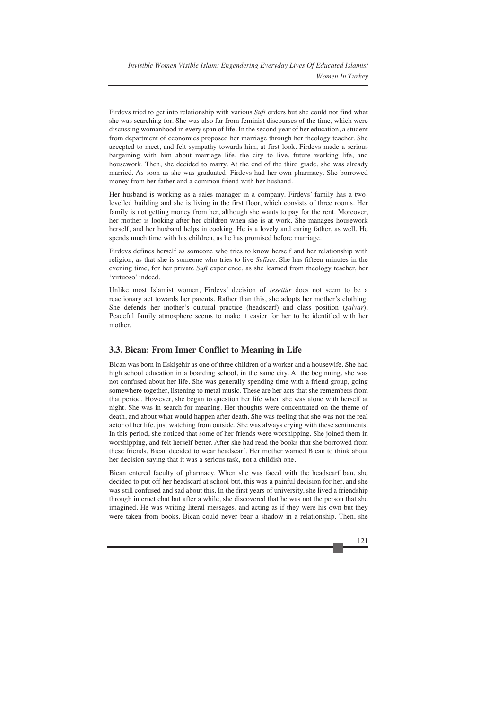Firdevs tried to get into relationship with various *Sufi* orders but she could not find what she was searching for. She was also far from feminist discourses of the time, which were discussing womanhood in every span of life. In the second year of her education, a student from department of economics proposed her marriage through her theology teacher. She accepted to meet, and felt sympathy towards him, at first look. Firdevs made a serious bargaining with him about marriage life, the city to live, future working life, and housework. Then, she decided to marry. At the end of the third grade, she was already married. As soon as she was graduated, Firdevs had her own pharmacy. She borrowed money from her father and a common friend with her husband.

Her husband is working as a sales manager in a company. Firdevs' family has a twolevelled building and she is living in the first floor, which consists of three rooms. Her family is not getting money from her, although she wants to pay for the rent. Moreover, her mother is looking after her children when she is at work. She manages housework herself, and her husband helps in cooking. He is a lovely and caring father, as well. He spends much time with his children, as he has promised before marriage.

Firdevs defines herself as someone who tries to know herself and her relationship with religion, as that she is someone who tries to live *Sufism*. She has fifteen minutes in the evening time, for her private *Sufi* experience, as she learned from theology teacher, her 'virtuoso' indeed.

Unlike most Islamist women, Firdevs' decision of *tesettür* does not seem to be a reactionary act towards her parents. Rather than this, she adopts her mother's clothing. She defends her mother's cultural practice (headscarf) and class position (*şalvar*). Peaceful family atmosphere seems to make it easier for her to be identified with her mother.

#### **3.3. Bican: From Inner Conflict to Meaning in Life**

Bican was born in Eskişehir as one of three children of a worker and a housewife. She had high school education in a boarding school, in the same city. At the beginning, she was not confused about her life. She was generally spending time with a friend group, going somewhere together, listening to metal music. These are her acts that she remembers from that period. However, she began to question her life when she was alone with herself at night. She was in search for meaning. Her thoughts were concentrated on the theme of death, and about what would happen after death. She was feeling that she was not the real actor of her life, just watching from outside. She was always crying with these sentiments. In this period, she noticed that some of her friends were worshipping. She joined them in worshipping, and felt herself better. After she had read the books that she borrowed from these friends, Bican decided to wear headscarf. Her mother warned Bican to think about her decision saying that it was a serious task, not a childish one.

Bican entered faculty of pharmacy. When she was faced with the headscarf ban, she decided to put off her headscarf at school but, this was a painful decision for her, and she was still confused and sad about this. In the first years of university, she lived a friendship through internet chat but after a while, she discovered that he was not the person that she imagined. He was writing literal messages, and acting as if they were his own but they were taken from books. Bican could never bear a shadow in a relationship. Then, she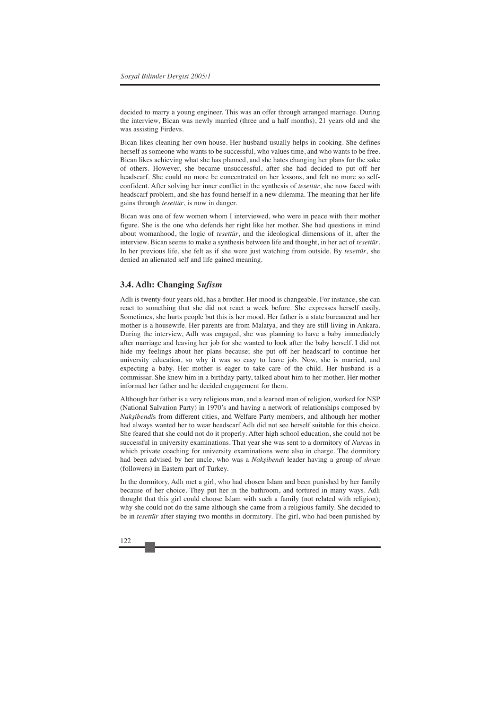decided to marry a young engineer. This was an offer through arranged marriage. During the interview, Bican was newly married (three and a half months), 21 years old and she was assisting Firdevs.

Bican likes cleaning her own house. Her husband usually helps in cooking. She defines herself as someone who wants to be successful, who values time, and who wants to be free. Bican likes achieving what she has planned, and she hates changing her plans for the sake of others. However, she became unsuccessful, after she had decided to put off her headscarf. She could no more be concentrated on her lessons, and felt no more so selfconfident. After solving her inner conflict in the synthesis of *tesettür*, she now faced with headscarf problem, and she has found herself in a new dilemma. The meaning that her life gains through *tesettür*, is now in danger.

Bican was one of few women whom I interviewed, who were in peace with their mother figure. She is the one who defends her right like her mother. She had questions in mind about womanhood, the logic of *tesettür*, and the ideological dimensions of it, after the interview. Bican seems to make a synthesis between life and thought, in her act of *tesettür*. In her previous life, she felt as if she were just watching from outside. By *tesettür*, she denied an alienated self and life gained meaning.

#### **3.4. Adlı: Changing** *Sufism*

Adlı is twenty-four years old, has a brother. Her mood is changeable. For instance, she can react to something that she did not react a week before. She expresses herself easily. Sometimes, she hurts people but this is her mood. Her father is a state bureaucrat and her mother is a housewife. Her parents are from Malatya, and they are still living in Ankara. During the interview, Adlı was engaged, she was planning to have a baby immediately after marriage and leaving her job for she wanted to look after the baby herself. I did not hide my feelings about her plans because; she put off her headscarf to continue her university education, so why it was so easy to leave job. Now, she is married, and expecting a baby. Her mother is eager to take care of the child. Her husband is a commissar. She knew him in a birthday party, talked about him to her mother. Her mother informed her father and he decided engagement for them.

Although her father is a very religious man, and a learned man of religion, worked for NSP (National Salvation Party) in 1970's and having a network of relationships composed by *Nakşibendi*s from different cities, and Welfare Party members, and although her mother had always wanted her to wear headscarf Adlı did not see herself suitable for this choice. She feared that she could not do it properly. After high school education, she could not be successful in university examinations. That year she was sent to a dormitory of *Nurcus* in which private coaching for university examinations were also in charge. The dormitory had been advised by her uncle, who was a *Nakşibendi* leader having a group of *ıhvan* (followers) in Eastern part of Turkey.

In the dormitory, Adlı met a girl, who had chosen Islam and been punished by her family because of her choice. They put her in the bathroom, and tortured in many ways. Adlı thought that this girl could choose Islam with such a family (not related with religion); why she could not do the same although she came from a religious family. She decided to be in *tesettür* after staying two months in dormitory. The girl, who had been punished by

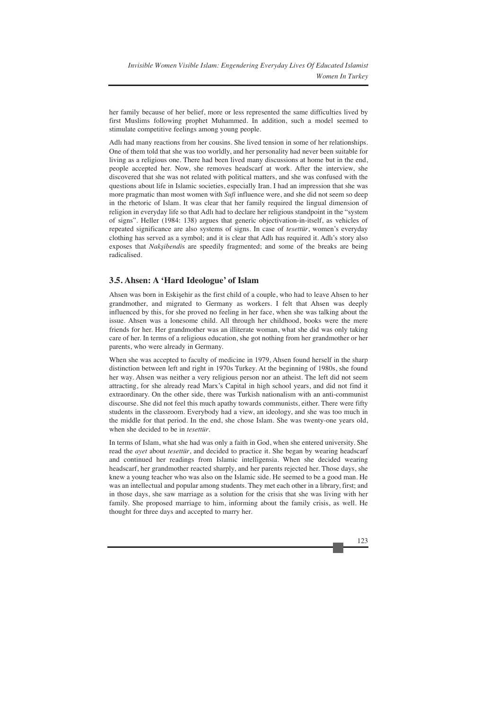her family because of her belief, more or less represented the same difficulties lived by first Muslims following prophet Muhammed. In addition, such a model seemed to stimulate competitive feelings among young people.

Adlı had many reactions from her cousins. She lived tension in some of her relationships. One of them told that she was too worldly, and her personality had never been suitable for living as a religious one. There had been lived many discussions at home but in the end, people accepted her. Now, she removes headscarf at work. After the interview, she discovered that she was not related with political matters, and she was confused with the questions about life in Islamic societies, especially Iran. I had an impression that she was more pragmatic than most women with *Sufi* influence were, and she did not seem so deep in the rhetoric of Islam. It was clear that her family required the lingual dimension of religion in everyday life so that Adlı had to declare her religious standpoint in the "system of signs". Heller (1984: 138) argues that generic objectivation-in-itself, as vehicles of repeated significance are also systems of signs. In case of *tesettür*, women's everyday clothing has served as a symbol; and it is clear that Adlı has required it. Adlı's story also exposes that *Nakşibendi*s are speedily fragmented; and some of the breaks are being radicalised.

#### **3.5. Ahsen: A 'Hard Ideologue' of Islam**

Ahsen was born in Eskişehir as the first child of a couple, who had to leave Ahsen to her grandmother, and migrated to Germany as workers. I felt that Ahsen was deeply influenced by this, for she proved no feeling in her face, when she was talking about the issue. Ahsen was a lonesome child. All through her childhood, books were the mere friends for her. Her grandmother was an illiterate woman, what she did was only taking care of her. In terms of a religious education, she got nothing from her grandmother or her parents, who were already in Germany.

When she was accepted to faculty of medicine in 1979, Ahsen found herself in the sharp distinction between left and right in 1970s Turkey. At the beginning of 1980s, she found her way. Ahsen was neither a very religious person nor an atheist. The left did not seem attracting, for she already read Marx's Capital in high school years, and did not find it extraordinary. On the other side, there was Turkish nationalism with an anti-communist discourse. She did not feel this much apathy towards communists, either. There were fifty students in the classroom. Everybody had a view, an ideology, and she was too much in the middle for that period. In the end, she chose Islam. She was twenty-one years old, when she decided to be in *tesettür*.

In terms of Islam, what she had was only a faith in God, when she entered university. She read the *ayet* about *tesettür*, and decided to practice it. She began by wearing headscarf and continued her readings from Islamic intelligensia. When she decided wearing headscarf, her grandmother reacted sharply, and her parents rejected her. Those days, she knew a young teacher who was also on the Islamic side. He seemed to be a good man. He was an intellectual and popular among students. They met each other in a library, first; and in those days, she saw marriage as a solution for the crisis that she was living with her family. She proposed marriage to him, informing about the family crisis, as well. He thought for three days and accepted to marry her.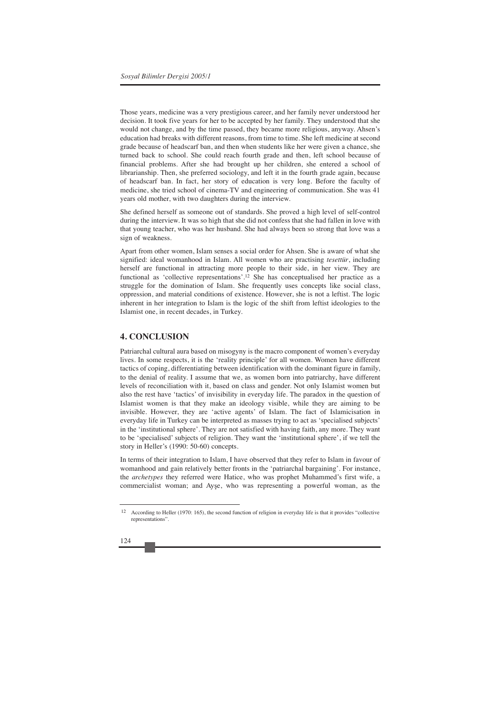Those years, medicine was a very prestigious career, and her family never understood her decision. It took five years for her to be accepted by her family. They understood that she would not change, and by the time passed, they became more religious, anyway. Ahsen's education had breaks with different reasons, from time to time. She left medicine at second grade because of headscarf ban, and then when students like her were given a chance, she turned back to school. She could reach fourth grade and then, left school because of financial problems. After she had brought up her children, she entered a school of librarianship. Then, she preferred sociology, and left it in the fourth grade again, because of headscarf ban. In fact, her story of education is very long. Before the faculty of medicine, she tried school of cinema-TV and engineering of communication. She was 41 years old mother, with two daughters during the interview.

She defined herself as someone out of standards. She proved a high level of self-control during the interview. It was so high that she did not confess that she had fallen in love with that young teacher, who was her husband. She had always been so strong that love was a sign of weakness.

Apart from other women, Islam senses a social order for Ahsen. She is aware of what she signified: ideal womanhood in Islam. All women who are practising *tesettür*, including herself are functional in attracting more people to their side, in her view. They are functional as 'collective representations'.<sup>12</sup> She has conceptualised her practice as a struggle for the domination of Islam. She frequently uses concepts like social class, oppression, and material conditions of existence. However, she is not a leftist. The logic inherent in her integration to Islam is the logic of the shift from leftist ideologies to the Islamist one, in recent decades, in Turkey.

## **4. CONCLUSION**

Patriarchal cultural aura based on misogyny is the macro component of women's everyday lives. In some respects, it is the 'reality principle' for all women. Women have different tactics of coping, differentiating between identification with the dominant figure in family, to the denial of reality. I assume that we, as women born into patriarchy, have different levels of reconciliation with it, based on class and gender. Not only Islamist women but also the rest have 'tactics' of invisibility in everyday life. The paradox in the question of Islamist women is that they make an ideology visible, while they are aiming to be invisible. However, they are 'active agents' of Islam. The fact of Islamicisation in everyday life in Turkey can be interpreted as masses trying to act as 'specialised subjects' in the 'institutional sphere'. They are not satisfied with having faith, any more. They want to be 'specialised' subjects of religion. They want the 'institutional sphere', if we tell the story in Heller's (1990: 50-60) concepts.

In terms of their integration to Islam, I have observed that they refer to Islam in favour of womanhood and gain relatively better fronts in the 'patriarchal bargaining'. For instance, the *archetypes* they referred were Hatice, who was prophet Muhammed's first wife, a commercialist woman; and Ayşe, who was representing a powerful woman, as the

<sup>12</sup> According to Heller (1970: 165), the second function of religion in everyday life is that it provides "collective representations".

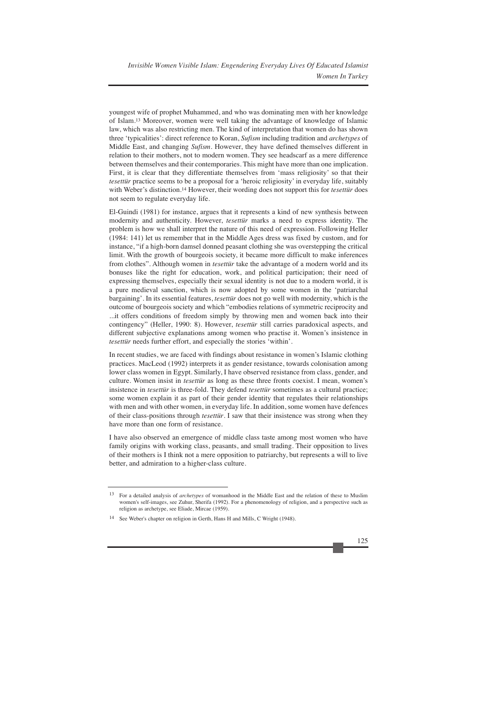youngest wife of prophet Muhammed, and who was dominating men with her knowledge of Islam.13 Moreover, women were well taking the advantage of knowledge of Islamic law, which was also restricting men. The kind of interpretation that women do has shown three 'typicalities': direct reference to Koran, *Sufism* including tradition and *archetypes* of Middle East, and changing *Sufism*. However, they have defined themselves different in relation to their mothers, not to modern women. They see headscarf as a mere difference between themselves and their contemporaries. This might have more than one implication. First, it is clear that they differentiate themselves from 'mass religiosity' so that their *tesettür* practice seems to be a proposal for a 'heroic religiosity' in everyday life, suitably with Weber's distinction.14 However, their wording does not support this for *tesettür* does not seem to regulate everyday life.

El-Guindi (1981) for instance, argues that it represents a kind of new synthesis between modernity and authenticity. However, *tesettür* marks a need to express identity. The problem is how we shall interpret the nature of this need of expression. Following Heller (1984: 141) let us remember that in the Middle Ages dress was fixed by custom, and for instance, "if a high-born damsel donned peasant clothing she was overstepping the critical limit. With the growth of bourgeois society, it became more difficult to make inferences from clothes". Although women in *tesettür* take the advantage of a modern world and its bonuses like the right for education, work, and political participation; their need of expressing themselves, especially their sexual identity is not due to a modern world, it is a pure medieval sanction, which is now adopted by some women in the 'patriarchal bargaining'. In its essential features, *tesettür* does not go well with modernity, which is the outcome of bourgeois society and which "embodies relations of symmetric reciprocity and ...it offers conditions of freedom simply by throwing men and women back into their contingency" (Heller, 1990: 8). However, *tesettür* still carries paradoxical aspects, and different subjective explanations among women who practise it. Women's insistence in *tesettür* needs further effort, and especially the stories 'within'.

In recent studies, we are faced with findings about resistance in women's Islamic clothing practices. MacLeod (1992) interprets it as gender resistance, towards colonisation among lower class women in Egypt. Similarly, I have observed resistance from class, gender, and culture. Women insist in *tesettür* as long as these three fronts coexist. I mean, women's insistence in *tesettür* is three-fold. They defend *tesettür* sometimes as a cultural practice; some women explain it as part of their gender identity that regulates their relationships with men and with other women, in everyday life. In addition, some women have defences of their class-positions through *tesettür*. I saw that their insistence was strong when they have more than one form of resistance.

I have also observed an emergence of middle class taste among most women who have family origins with working class, peasants, and small trading. Their opposition to lives of their mothers is I think not a mere opposition to patriarchy, but represents a will to live better, and admiration to a higher-class culture.

<sup>13</sup> For a detailed analysis of *archetypes* of womanhood in the Middle East and the relation of these to Muslim women's self-images, see Zuhur, Sherifa (1992). For a phenomenology of religion, and a perspective such as religion as archetype, see Eliade, Mircae (1959).

<sup>14</sup> See Weber's chapter on religion in Gerth, Hans H and Mills, C Wright (1948).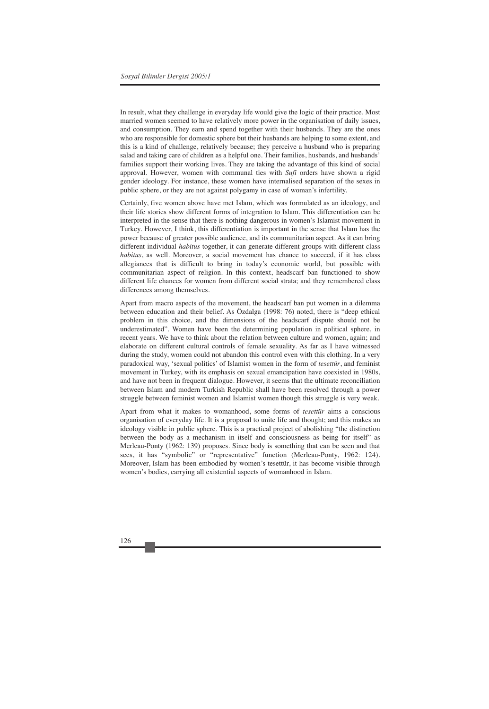In result, what they challenge in everyday life would give the logic of their practice. Most married women seemed to have relatively more power in the organisation of daily issues, and consumption. They earn and spend together with their husbands. They are the ones who are responsible for domestic sphere but their husbands are helping to some extent, and this is a kind of challenge, relatively because; they perceive a husband who is preparing salad and taking care of children as a helpful one. Their families, husbands, and husbands' families support their working lives. They are taking the advantage of this kind of social approval. However, women with communal ties with *Sufi* orders have shown a rigid gender ideology. For instance, these women have internalised separation of the sexes in public sphere, or they are not against polygamy in case of woman's infertility.

Certainly, five women above have met Islam, which was formulated as an ideology, and their life stories show different forms of integration to Islam. This differentiation can be interpreted in the sense that there is nothing dangerous in women's Islamist movement in Turkey. However, I think, this differentiation is important in the sense that Islam has the power because of greater possible audience, and its communitarian aspect. As it can bring different individual *habitus* together, it can generate different groups with different class *habitus*, as well. Moreover, a social movement has chance to succeed, if it has class allegiances that is difficult to bring in today's economic world, but possible with communitarian aspect of religion. In this context, headscarf ban functioned to show different life chances for women from different social strata; and they remembered class differences among themselves.

Apart from macro aspects of the movement, the headscarf ban put women in a dilemma between education and their belief. As Özdalga (1998: 76) noted, there is "deep ethical problem in this choice, and the dimensions of the headscarf dispute should not be underestimated". Women have been the determining population in political sphere, in recent years. We have to think about the relation between culture and women, again; and elaborate on different cultural controls of female sexuality. As far as I have witnessed during the study, women could not abandon this control even with this clothing. In a very paradoxical way, 'sexual politics' of Islamist women in the form of *tesettür*, and feminist movement in Turkey, with its emphasis on sexual emancipation have coexisted in 1980s, and have not been in frequent dialogue. However, it seems that the ultimate reconciliation between Islam and modern Turkish Republic shall have been resolved through a power struggle between feminist women and Islamist women though this struggle is very weak.

Apart from what it makes to womanhood, some forms of *tesettür* aims a conscious organisation of everyday life. It is a proposal to unite life and thought; and this makes an ideology visible in public sphere. This is a practical project of abolishing "the distinction between the body as a mechanism in itself and consciousness as being for itself" as Merleau-Ponty (1962: 139) proposes. Since body is something that can be seen and that sees, it has "symbolic" or "representative" function (Merleau-Ponty, 1962: 124). Moreover, Islam has been embodied by women's tesettür, it has become visible through women's bodies, carrying all existential aspects of womanhood in Islam.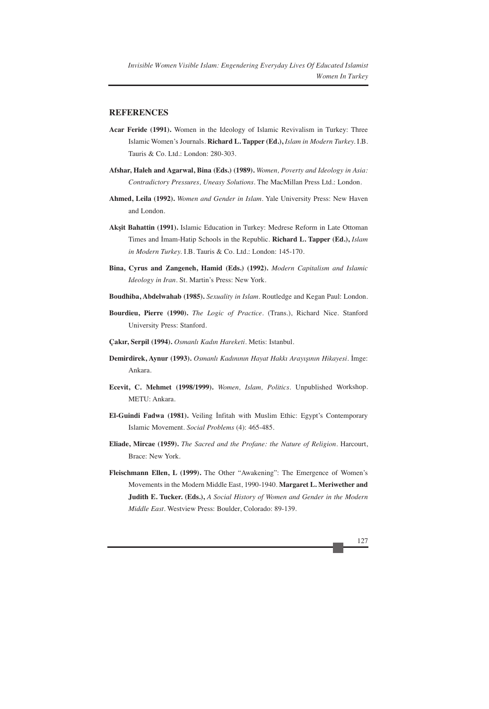### **REFERENCES**

- **Acar Feride (1991).** Women in the Ideology of Islamic Revivalism in Turkey: Three Islamic Women's Journals. **Richard L. Tapper (Ed.),** *Islam in Modern Turkey.* I.B. Tauris & Co. Ltd.: London: 280-303.
- **Afshar, Haleh and Agarwal, Bina (Eds.) (1989).** *Women, Poverty and Ideology in Asia: Contradictory Pressures, Uneasy Solutions.* The MacMillan Press Ltd.: London.
- **Ahmed, Leila (1992).** *Women and Gender in Islam.* Yale University Press: New Haven and London.
- **Akşit Bahattin (1991).** Islamic Education in Turkey: Medrese Reform in Late Ottoman Times and İmam-Hatip Schools in the Republic. **Richard L. Tapper (Ed.),** *Islam in Modern Turkey.* I.B. Tauris & Co. Ltd.: London: 145-170.
- **Bina, Cyrus and Zangeneh, Hamid (Eds.) (1992).** *Modern Capitalism and Islamic Ideology in Iran.* St. Martin's Press: New York.
- **Boudhiba, Abdelwahab (1985).** *Sexuality in Islam.* Routledge and Kegan Paul: London.
- **Bourdieu, Pierre (1990).** *The Logic of Practice.* (Trans.), Richard Nice. Stanford University Press: Stanford.
- **Çakır, Serpil (1994).** *Osmanlı Kadın Hareketi.* Metis: Istanbul.
- **Demirdirek, Aynur (1993).** *Osmanlı Kadınının Hayat Hakkı Arayışının Hikayesi.* İmge: Ankara.
- **Ecevit, C. Mehmet (1998/1999).** *Women, Islam, Politics.* Unpublished Workshop. METU: Ankara.
- **El-Guindi Fadwa (1981).** Veiling İnfitah with Muslim Ethic: Egypt's Contemporary Islamic Movement. *Social Problems* (4): 465-485.
- **Eliade, Mircae (1959).** *The Sacred and the Profane: the Nature of Religion.* Harcourt, Brace: New York.
- **Fleischmann Ellen, L (1999).** The Other "Awakening": The Emergence of Women's Movements in the Modern Middle East, 1990-1940. **Margaret L. Meriwether and Judith E. Tucker. (Eds.),** *A Social History of Women and Gender in the Modern Middle East.* Westview Press: Boulder, Colorado: 89-139.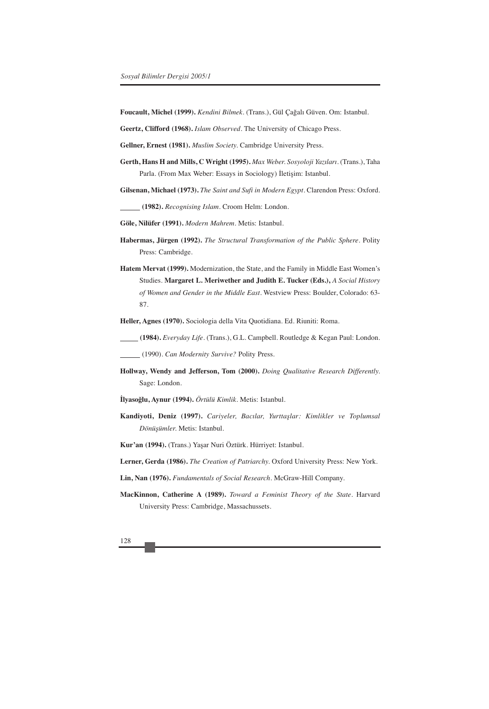**Foucault, Michel (1999).** *Kendini Bilmek.* (Trans.), Gül Çağalı Güven. Om: Istanbul.

**Geertz, Clifford (1968).** *Islam Observed.* The University of Chicago Press.

**Gellner, Ernest (1981).** *Muslim Society.* Cambridge University Press.

**Gerth, Hans H and Mills, C Wright (1995).** *Max Weber. Sosyoloji Yazıları.* (Trans.), Taha Parla. (From Max Weber: Essays in Sociology) İletişim: Istanbul.

**Gilsenan, Michael (1973).** *The Saint and Sufi in Modern Egypt.* Clarendon Press: Oxford.

**(1982).** *Recognising Islam.* Croom Helm: London.

**Göle, Nilüfer (1991).** *Modern Mahrem.* Metis: Istanbul.

- **Habermas, Jürgen (1992).** *The Structural Transformation of the Public Sphere.* Polity Press: Cambridge.
- **Hatem Mervat (1999).** Modernization, the State, and the Family in Middle East Women's Studies. **Margaret L. Meriwether and Judith E. Tucker (Eds.),** *A Social History of Women and Gender in the Middle East.* Westview Press: Boulder, Colorado: 63- 87.

**Heller, Agnes (1970).** Sociologia della Vita Quotidiana. Ed. Riuniti: Roma.

**(1984).** *Everyday Life.* (Trans.), G.L. Campbell. Routledge & Kegan Paul: London.

(1990). *Can Modernity Survive?* Polity Press.

- **Hollway, Wendy and Jefferson, Tom (2000).** *Doing Qualitative Research Differently.* Sage: London.
- **İlyasoğlu, Aynur (1994).** *Örtülü Kimlik.* Metis: Istanbul.
- **Kandiyoti, Deniz (1997).** *Cariyeler, Bacılar, Yurttaşlar: Kimlikler ve Toplumsal Dönüşümler.* Metis: Istanbul.
- **Kur'an (1994).** (Trans.) Yaşar Nuri Öztürk. Hürriyet: Istanbul.

**Lerner, Gerda (1986).** *The Creation of Patriarchy.* Oxford University Press: New York.

- **Lin, Nan (1976).** *Fundamentals of Social Research.* McGraw-Hill Company.
- **MacKinnon, Catherine A (1989).** *Toward a Feminist Theory of the State.* Harvard University Press: Cambridge, Massachussets.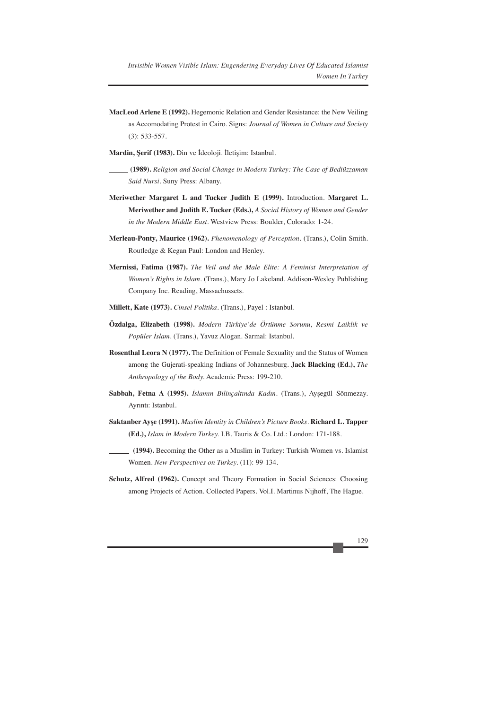- **MacLeod Arlene E (1992).** Hegemonic Relation and Gender Resistance: the New Veiling as Accomodating Protest in Cairo. Signs: *Journal of Women in Culture and Society* (3): 533-557.
- **Mardin, Şerif (1983).** Din ve İdeoloji. İletişim: Istanbul.
- **(1989).** *Religion and Social Change in Modern Turkey: The Case of Bediüzzaman Said Nursi.* Suny Press: Albany.
- **Meriwether Margaret L and Tucker Judith E (1999).** Introduction. **Margaret L. Meriwether and Judith E. Tucker (Eds.),** *A Social History of Women and Gender in the Modern Middle East.* Westview Press: Boulder, Colorado: 1-24.
- **Merleau-Ponty, Maurice (1962).** *Phenomenology of Perception.* (Trans.), Colin Smith. Routledge & Kegan Paul: London and Henley.
- **Mernissi, Fatima (1987).** *The Veil and the Male Elite: A Feminist Interpretation of Women's Rights in Islam.* (Trans.), Mary Jo Lakeland. Addison-Wesley Publishing Company Inc. Reading, Massachussets.
- **Millett, Kate (1973).** *Cinsel Politika.* (Trans.), Payel : Istanbul.
- **Özdalga, Elizabeth (1998).** *Modern Türkiye'de Örtünme Sorunu, Resmi Laiklik ve Popüler İslam.* (Trans.), Yavuz Alogan. Sarmal: Istanbul.
- **Rosenthal Leora N (1977).** The Definition of Female Sexuality and the Status of Women among the Gujerati-speaking Indians of Johannesburg. **Jack Blacking (Ed.),** *The Anthropology of the Body.* Academic Press: 199-210.
- **Sabbah, Fetna A (1995).** *İslamın Bilinçaltında Kadın.* (Trans.), Ayşegül Sönmezay. Ayrıntı: Istanbul.
- **Saktanber Ayşe (1991).** *Muslim Identity in Children's Picture Books.* **Richard L. Tapper (Ed.),** *Islam in Modern Turkey.* I.B. Tauris & Co. Ltd.: London: 171-188.
- **(1994).** Becoming the Other as a Muslim in Turkey: Turkish Women vs. Islamist Women. *New Perspectives on Turkey.* (11): 99-134.
- **Schutz, Alfred (1962).** Concept and Theory Formation in Social Sciences: Choosing among Projects of Action. Collected Papers. Vol.I. Martinus Nijhoff, The Hague.